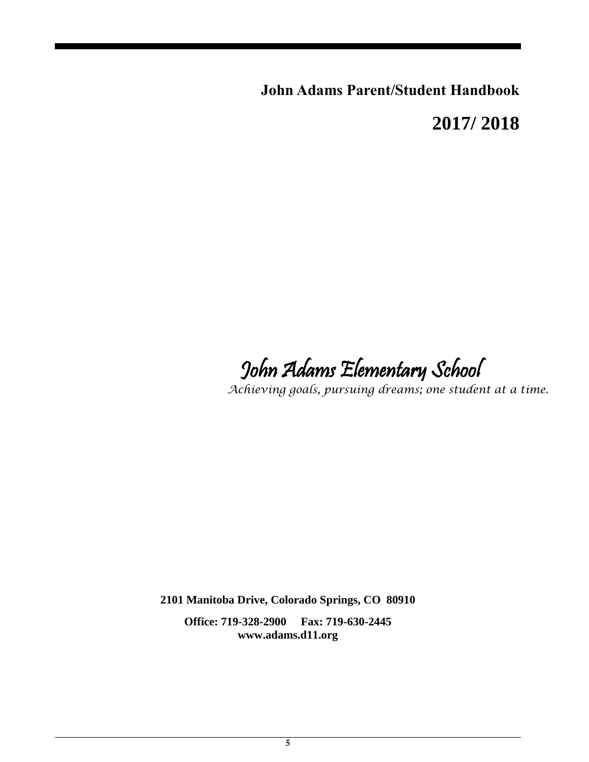**John Adams Parent/Student Handbook**

**2017/ 2018**

John Adams Elementary School

*Achieving goals, pursuing dreams; one student at a time.*

**2101 Manitoba Drive, Colorado Springs, CO 80910**

**Office: 719-328-2900 Fax: 719-630-2445 www.adams.d11.org**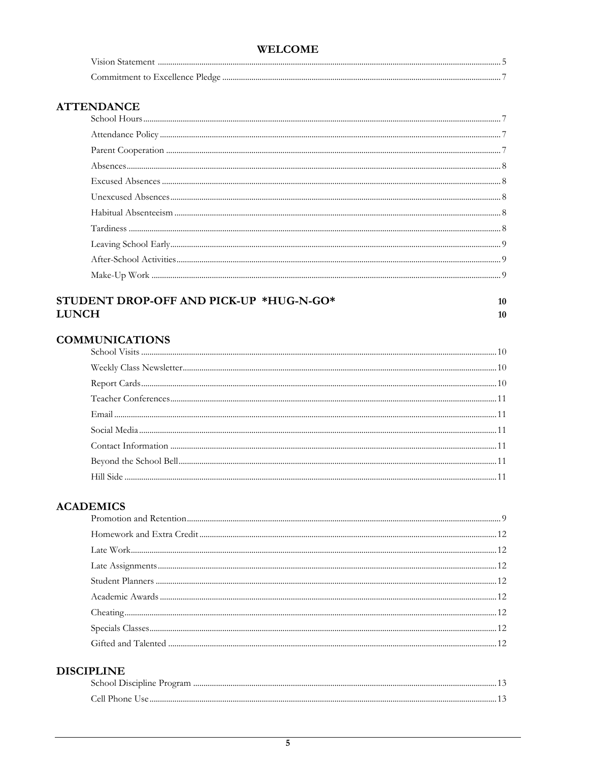| <b>WELCOME</b> |  |
|----------------|--|
|                |  |
|                |  |

### **ATTENDANCE**

### STUDENT DROP-OFF AND PICK-UP \*HUG-N-GO\* **LUNCH**

 $10$  $10<sup>10</sup>$ 

### **COMMUNICATIONS**

### **ACADEMICS**

### **DISCIPLINE**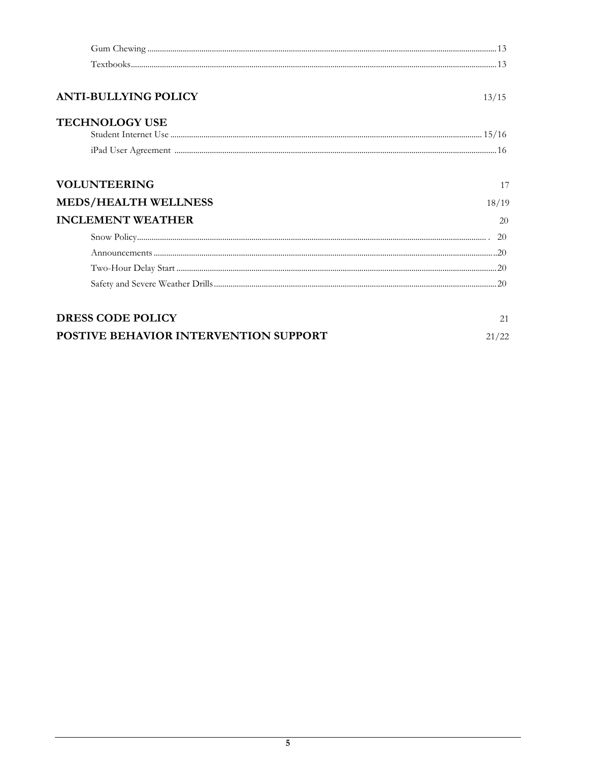| <b>ANTI-BULLYING POLICY</b>           | 13/15 |
|---------------------------------------|-------|
| <b>TECHNOLOGY USE</b>                 |       |
|                                       |       |
|                                       |       |
|                                       |       |
| <b>VOLUNTEERING</b>                   | 17    |
| <b>MEDS/HEALTH WELLNESS</b>           | 18/19 |
| <b>INCLEMENT WEATHER</b>              | 20    |
|                                       |       |
|                                       |       |
|                                       |       |
|                                       |       |
|                                       |       |
| <b>DRESS CODE POLICY</b>              | 21    |
| POSTIVE BEHAVIOR INTERVENTION SUPPORT | 21/22 |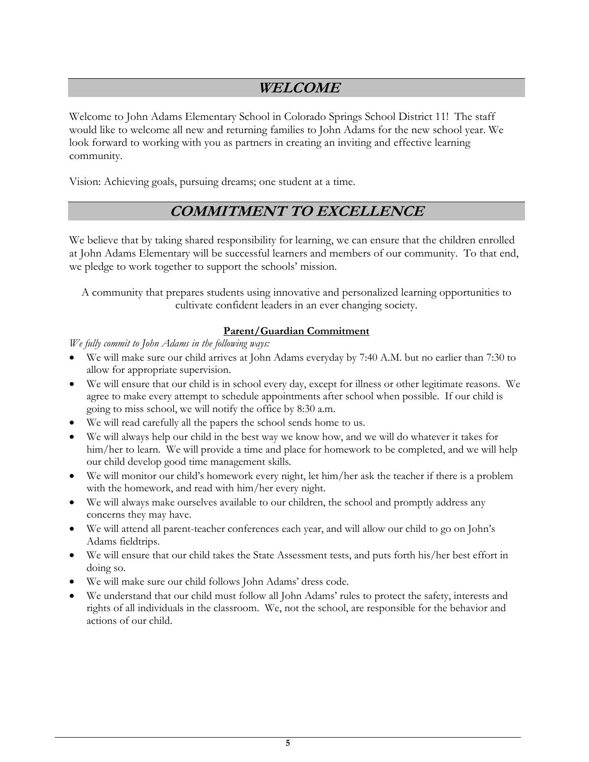# **WELCOME**

Welcome to John Adams Elementary School in Colorado Springs School District 11! The staff would like to welcome all new and returning families to John Adams for the new school year. We look forward to working with you as partners in creating an inviting and effective learning community.

Vision: Achieving goals, pursuing dreams; one student at a time.

## **COMMITMENT TO EXCELLENCE**

We believe that by taking shared responsibility for learning, we can ensure that the children enrolled at John Adams Elementary will be successful learners and members of our community. To that end, we pledge to work together to support the schools' mission.

A community that prepares students using innovative and personalized learning opportunities to cultivate confident leaders in an ever changing society.

#### **Parent/Guardian Commitment**

*We fully commit to John Adams in the following ways:*

- We will make sure our child arrives at John Adams everyday by 7:40 A.M. but no earlier than 7:30 to allow for appropriate supervision.
- We will ensure that our child is in school every day, except for illness or other legitimate reasons. We agree to make every attempt to schedule appointments after school when possible. If our child is going to miss school, we will notify the office by 8:30 a.m.
- We will read carefully all the papers the school sends home to us.
- We will always help our child in the best way we know how, and we will do whatever it takes for him/her to learn. We will provide a time and place for homework to be completed, and we will help our child develop good time management skills.
- We will monitor our child's homework every night, let him/her ask the teacher if there is a problem with the homework, and read with him/her every night.
- We will always make ourselves available to our children, the school and promptly address any concerns they may have.
- We will attend all parent-teacher conferences each year, and will allow our child to go on John's Adams fieldtrips.
- We will ensure that our child takes the State Assessment tests, and puts forth his/her best effort in doing so.
- We will make sure our child follows John Adams' dress code.
- We understand that our child must follow all John Adams' rules to protect the safety, interests and rights of all individuals in the classroom. We, not the school, are responsible for the behavior and actions of our child.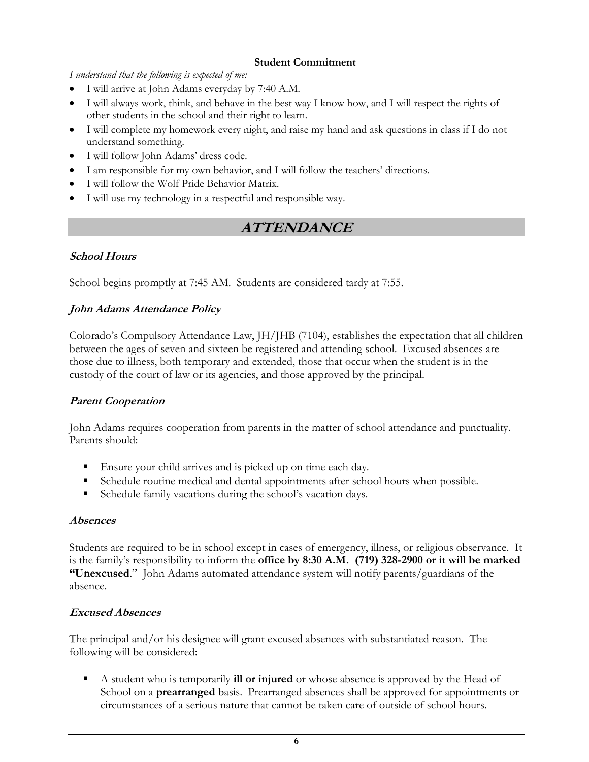#### **Student Commitment**

*I understand that the following is expected of me:*

- I will arrive at John Adams everyday by 7:40 A.M.
- I will always work, think, and behave in the best way I know how, and I will respect the rights of other students in the school and their right to learn.
- I will complete my homework every night, and raise my hand and ask questions in class if I do not understand something.
- I will follow John Adams' dress code.
- I am responsible for my own behavior, and I will follow the teachers' directions.
- I will follow the Wolf Pride Behavior Matrix.
- I will use my technology in a respectful and responsible way.

# **ATTENDANCE**

### **School Hours**

School begins promptly at 7:45 AM. Students are considered tardy at 7:55.

### **John Adams Attendance Policy**

Colorado's Compulsory Attendance Law, JH/JHB (7104), establishes the expectation that all children between the ages of seven and sixteen be registered and attending school. Excused absences are those due to illness, both temporary and extended, those that occur when the student is in the custody of the court of law or its agencies, and those approved by the principal.

### **Parent Cooperation**

John Adams requires cooperation from parents in the matter of school attendance and punctuality. Parents should:

- Ensure your child arrives and is picked up on time each day.
- Schedule routine medical and dental appointments after school hours when possible.
- Schedule family vacations during the school's vacation days.

### **Absences**

Students are required to be in school except in cases of emergency, illness, or religious observance. It is the family's responsibility to inform the **office by 8:30 A.M. (719) 328-2900 or it will be marked "Unexcused**." John Adams automated attendance system will notify parents/guardians of the absence.

### **Excused Absences**

The principal and/or his designee will grant excused absences with substantiated reason. The following will be considered:

 A student who is temporarily **ill or injured** or whose absence is approved by the Head of School on a **prearranged** basis. Prearranged absences shall be approved for appointments or circumstances of a serious nature that cannot be taken care of outside of school hours.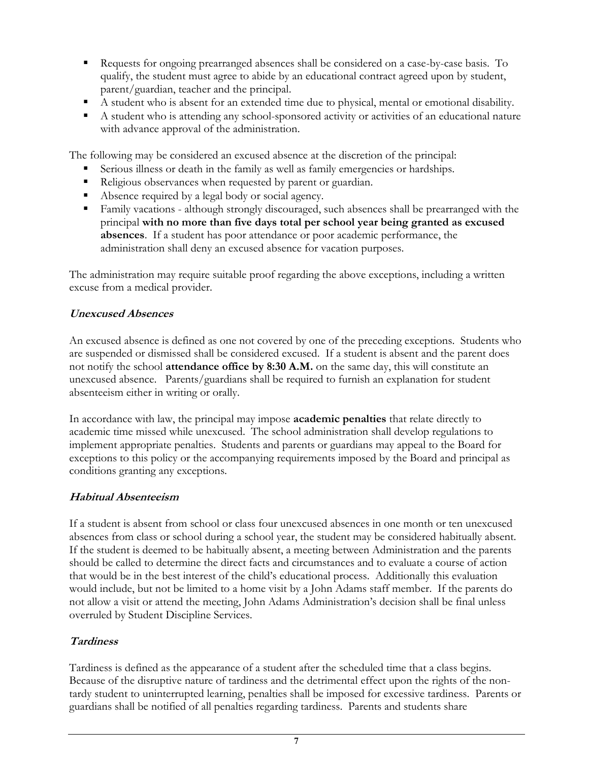- Requests for ongoing prearranged absences shall be considered on a case-by-case basis. To qualify, the student must agree to abide by an educational contract agreed upon by student, parent/guardian, teacher and the principal.
- A student who is absent for an extended time due to physical, mental or emotional disability.
- A student who is attending any school-sponsored activity or activities of an educational nature with advance approval of the administration.

The following may be considered an excused absence at the discretion of the principal:

- Serious illness or death in the family as well as family emergencies or hardships.
- Religious observances when requested by parent or guardian.
- Absence required by a legal body or social agency.
- Family vacations although strongly discouraged, such absences shall be prearranged with the principal **with no more than five days total per school year being granted as excused absences**. If a student has poor attendance or poor academic performance, the administration shall deny an excused absence for vacation purposes.

The administration may require suitable proof regarding the above exceptions, including a written excuse from a medical provider.

#### **Unexcused Absences**

An excused absence is defined as one not covered by one of the preceding exceptions. Students who are suspended or dismissed shall be considered excused. If a student is absent and the parent does not notify the school **attendance office by 8:30 A.M.** on the same day, this will constitute an unexcused absence. Parents/guardians shall be required to furnish an explanation for student absenteeism either in writing or orally.

In accordance with law, the principal may impose **academic penalties** that relate directly to academic time missed while unexcused. The school administration shall develop regulations to implement appropriate penalties. Students and parents or guardians may appeal to the Board for exceptions to this policy or the accompanying requirements imposed by the Board and principal as conditions granting any exceptions.

### **Habitual Absenteeism**

If a student is absent from school or class four unexcused absences in one month or ten unexcused absences from class or school during a school year, the student may be considered habitually absent. If the student is deemed to be habitually absent, a meeting between Administration and the parents should be called to determine the direct facts and circumstances and to evaluate a course of action that would be in the best interest of the child's educational process. Additionally this evaluation would include, but not be limited to a home visit by a John Adams staff member. If the parents do not allow a visit or attend the meeting, John Adams Administration's decision shall be final unless overruled by Student Discipline Services.

#### **Tardiness**

Tardiness is defined as the appearance of a student after the scheduled time that a class begins. Because of the disruptive nature of tardiness and the detrimental effect upon the rights of the nontardy student to uninterrupted learning, penalties shall be imposed for excessive tardiness. Parents or guardians shall be notified of all penalties regarding tardiness. Parents and students share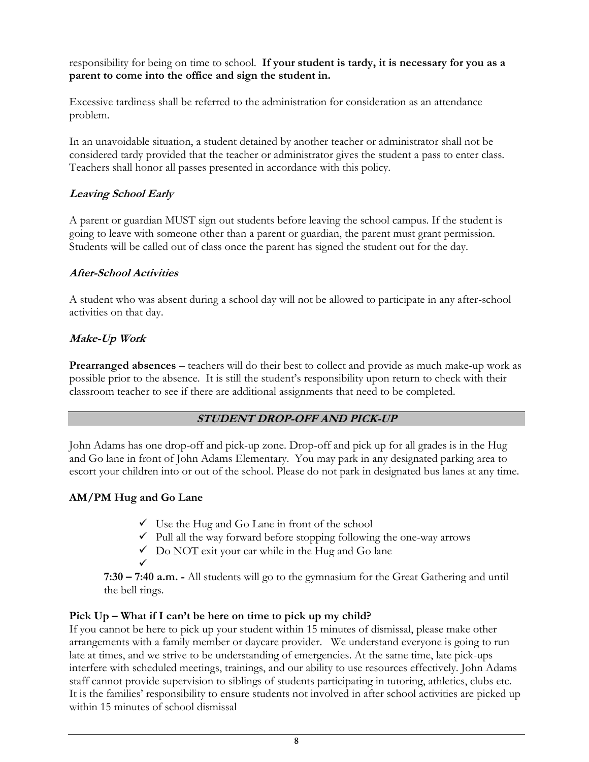responsibility for being on time to school. **If your student is tardy, it is necessary for you as a parent to come into the office and sign the student in.**

Excessive tardiness shall be referred to the administration for consideration as an attendance problem.

In an unavoidable situation, a student detained by another teacher or administrator shall not be considered tardy provided that the teacher or administrator gives the student a pass to enter class. Teachers shall honor all passes presented in accordance with this policy.

### **Leaving School Early**

A parent or guardian MUST sign out students before leaving the school campus. If the student is going to leave with someone other than a parent or guardian, the parent must grant permission. Students will be called out of class once the parent has signed the student out for the day.

### **After-School Activities**

A student who was absent during a school day will not be allowed to participate in any after-school activities on that day.

### **Make-Up Work**

**Prearranged absences** – teachers will do their best to collect and provide as much make-up work as possible prior to the absence. It is still the student's responsibility upon return to check with their classroom teacher to see if there are additional assignments that need to be completed.

### **STUDENT DROP-OFF AND PICK-UP**

John Adams has one drop-off and pick-up zone. Drop-off and pick up for all grades is in the Hug and Go lane in front of John Adams Elementary. You may park in any designated parking area to escort your children into or out of the school. Please do not park in designated bus lanes at any time.

### **AM/PM Hug and Go Lane**

- $\checkmark$  Use the Hug and Go Lane in front of the school
- $\checkmark$  Pull all the way forward before stopping following the one-way arrows
- $\checkmark$  Do NOT exit your car while in the Hug and Go lane
- 
- $\checkmark$ **7:30 – 7:40 a.m. -** All students will go to the gymnasium for the Great Gathering and until the bell rings.

### **Pick Up – What if I can't be here on time to pick up my child?**

If you cannot be here to pick up your student within 15 minutes of dismissal, please make other arrangements with a family member or daycare provider. We understand everyone is going to run late at times, and we strive to be understanding of emergencies. At the same time, late pick-ups interfere with scheduled meetings, trainings, and our ability to use resources effectively. John Adams staff cannot provide supervision to siblings of students participating in tutoring, athletics, clubs etc. It is the families' responsibility to ensure students not involved in after school activities are picked up within 15 minutes of school dismissal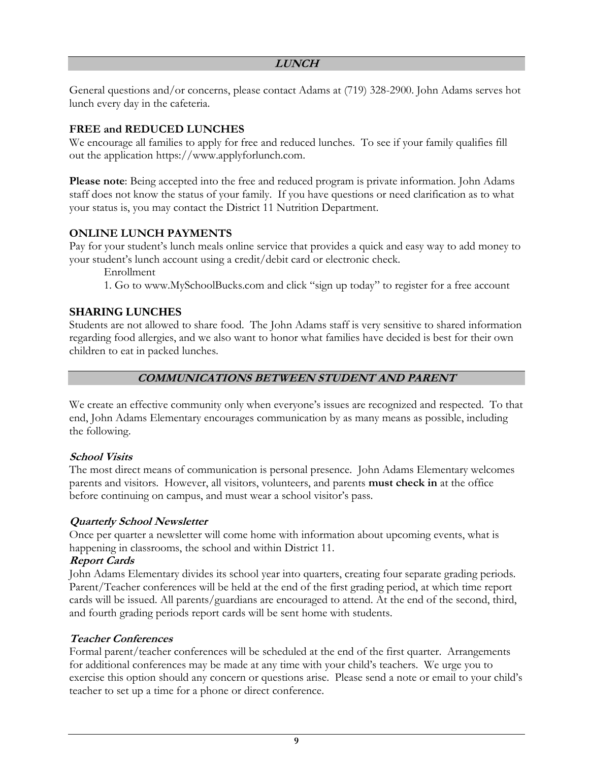#### **LUNCH**

General questions and/or concerns, please contact Adams at (719) 328-2900. John Adams serves hot lunch every day in the cafeteria.

### **FREE and REDUCED LUNCHES**

We encourage all families to apply for free and reduced lunches. To see if your family qualifies fill out the application [https://www.applyforlunch.com.](https://www.applyforlunch.com/)

**Please note**: Being accepted into the free and reduced program is private information. John Adams staff does not know the status of your family. If you have questions or need clarification as to what your status is, you may contact the District 11 Nutrition Department.

### **ONLINE LUNCH PAYMENTS**

Pay for your student's lunch meals online service that provides a quick and easy way to add money to your student's lunch account using a credit/debit card or electronic check.

Enrollment

1. Go to www.MySchoolBucks.com and click "sign up today" to register for a free account

### **SHARING LUNCHES**

Students are not allowed to share food. The John Adams staff is very sensitive to shared information regarding food allergies, and we also want to honor what families have decided is best for their own children to eat in packed lunches.

### **COMMUNICATIONS BETWEEN STUDENT AND PARENT**

We create an effective community only when everyone's issues are recognized and respected. To that end, John Adams Elementary encourages communication by as many means as possible, including the following.

### **School Visits**

The most direct means of communication is personal presence. John Adams Elementary welcomes parents and visitors. However, all visitors, volunteers, and parents **must check in** at the office before continuing on campus, and must wear a school visitor's pass.

### **Quarterly School Newsletter**

Once per quarter a newsletter will come home with information about upcoming events, what is happening in classrooms, the school and within District 11.

### **Report Cards**

John Adams Elementary divides its school year into quarters, creating four separate grading periods. Parent/Teacher conferences will be held at the end of the first grading period, at which time report cards will be issued. All parents/guardians are encouraged to attend. At the end of the second, third, and fourth grading periods report cards will be sent home with students.

### **Teacher Conferences**

Formal parent/teacher conferences will be scheduled at the end of the first quarter. Arrangements for additional conferences may be made at any time with your child's teachers. We urge you to exercise this option should any concern or questions arise. Please send a note or email to your child's teacher to set up a time for a phone or direct conference.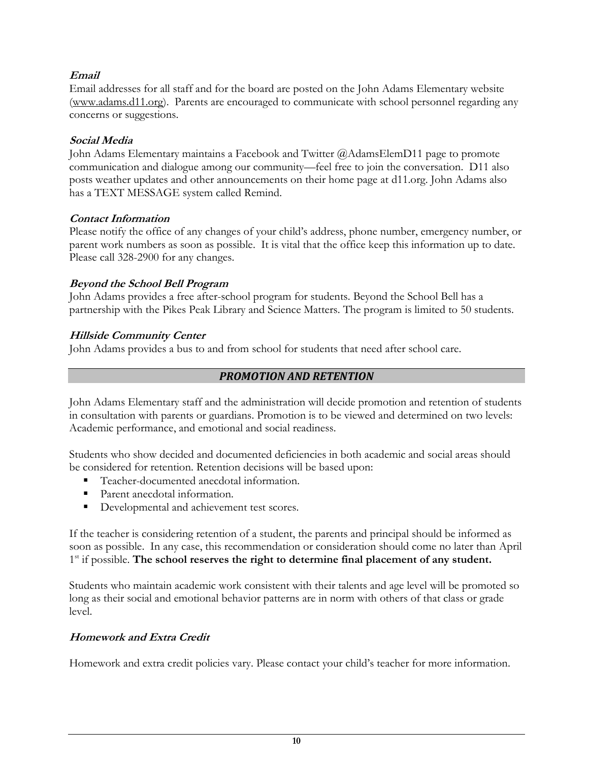### **Email**

Email addresses for all staff and for the board are posted on the John Adams Elementary website [\(www.adams.d11.org\)](http://www.adams.d11.org/). Parents are encouraged to communicate with school personnel regarding any concerns or suggestions.

### **Social Media**

John Adams Elementary maintains a Facebook and Twitter @AdamsElemD11 page to promote communication and dialogue among our community—feel free to join the conversation. D11 also posts weather updates and other announcements on their home page at d11.org. John Adams also has a TEXT MESSAGE system called Remind.

### **Contact Information**

Please notify the office of any changes of your child's address, phone number, emergency number, or parent work numbers as soon as possible. It is vital that the office keep this information up to date. Please call 328-2900 for any changes.

### **Beyond the School Bell Program**

John Adams provides a free after-school program for students. Beyond the School Bell has a partnership with the Pikes Peak Library and Science Matters. The program is limited to 50 students.

### **Hillside Community Center**

John Adams provides a bus to and from school for students that need after school care.

### *PROMOTION AND RETENTION*

John Adams Elementary staff and the administration will decide promotion and retention of students in consultation with parents or guardians. Promotion is to be viewed and determined on two levels: Academic performance, and emotional and social readiness.

Students who show decided and documented deficiencies in both academic and social areas should be considered for retention. Retention decisions will be based upon:

- Teacher-documented anecdotal information.
- Parent anecdotal information.
- Developmental and achievement test scores.

If the teacher is considering retention of a student, the parents and principal should be informed as soon as possible. In any case, this recommendation or consideration should come no later than April 1<sup>st</sup> if possible. The school reserves the right to determine final placement of any student.

Students who maintain academic work consistent with their talents and age level will be promoted so long as their social and emotional behavior patterns are in norm with others of that class or grade level.

### **Homework and Extra Credit**

Homework and extra credit policies vary. Please contact your child's teacher for more information.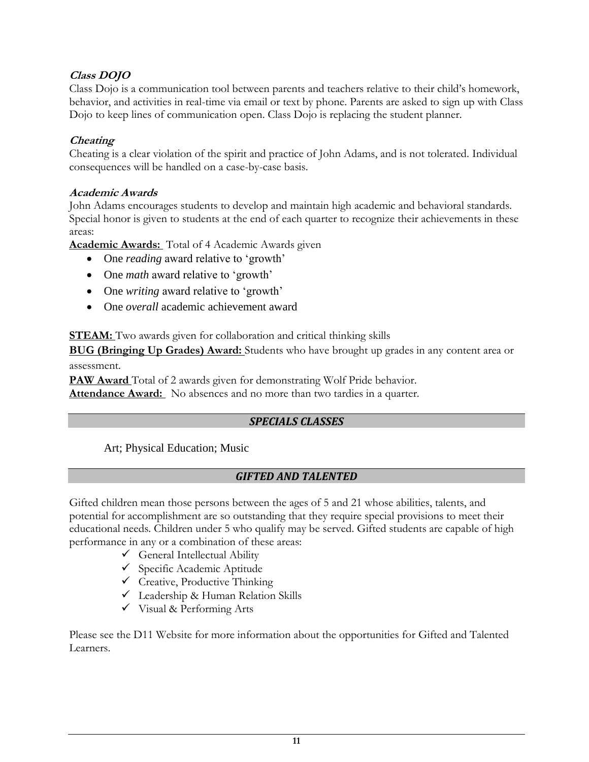### **Class DOJO**

Class Dojo is a communication tool between parents and teachers relative to their child's homework, behavior, and activities in real-time via email or text by phone. Parents are asked to sign up with Class Dojo to keep lines of communication open. Class Dojo is replacing the student planner.

### **Cheating**

Cheating is a clear violation of the spirit and practice of John Adams, and is not tolerated. Individual consequences will be handled on a case-by-case basis.

### **Academic Awards**

John Adams encourages students to develop and maintain high academic and behavioral standards. Special honor is given to students at the end of each quarter to recognize their achievements in these areas:

**Academic Awards:** Total of 4 Academic Awards given

- One *reading* award relative to 'growth'
- One *math* award relative to 'growth'
- One *writing* award relative to 'growth'
- One *overall* academic achievement award

**STEAM:** Two awards given for collaboration and critical thinking skills

**BUG (Bringing Up Grades) Award:** Students who have brought up grades in any content area or assessment.

**PAW Award** Total of 2 awards given for demonstrating Wolf Pride behavior. **Attendance Award:** No absences and no more than two tardies in a quarter.

### *SPECIALS CLASSES*

Art; Physical Education; Music

### *GIFTED AND TALENTED*

Gifted children mean those persons between the ages of 5 and 21 whose abilities, talents, and potential for accomplishment are so outstanding that they require special provisions to meet their educational needs. Children under 5 who qualify may be served. Gifted students are capable of high performance in any or a combination of these areas:

- $\checkmark$  General Intellectual Ability
- Specific Academic Aptitude
- $\checkmark$  Creative, Productive Thinking
- $\checkmark$  Leadership & Human Relation Skills
- $\checkmark$  Visual & Performing Arts

Please see the D11 Website for more information about the opportunities for Gifted and Talented Learners.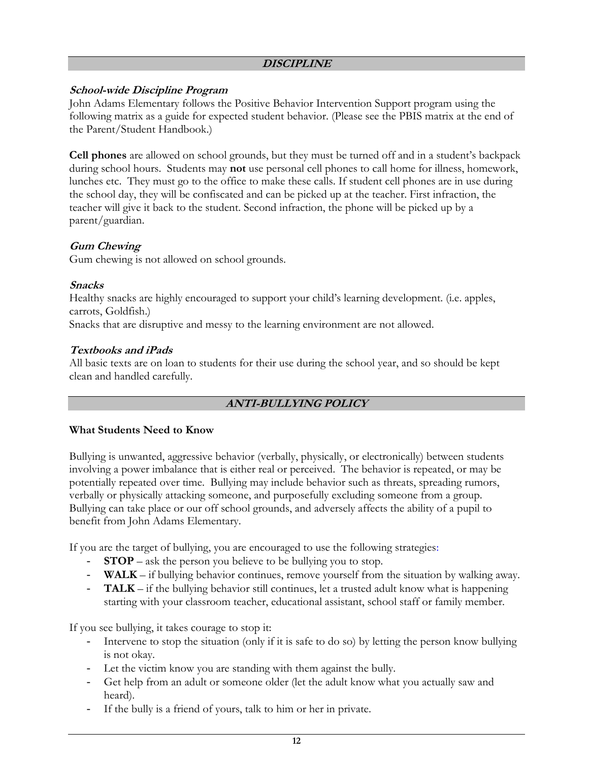#### **DISCIPLINE**

#### **School-wide Discipline Program**

John Adams Elementary follows the Positive Behavior Intervention Support program using the following matrix as a guide for expected student behavior. (Please see the PBIS matrix at the end of the Parent/Student Handbook.)

**Cell phones** are allowed on school grounds, but they must be turned off and in a student's backpack during school hours. Students may **not** use personal cell phones to call home for illness, homework, lunches etc. They must go to the office to make these calls. If student cell phones are in use during the school day, they will be confiscated and can be picked up at the teacher. First infraction, the teacher will give it back to the student. Second infraction, the phone will be picked up by a parent/guardian.

### **Gum Chewing**

Gum chewing is not allowed on school grounds.

#### **Snacks**

Healthy snacks are highly encouraged to support your child's learning development. (i.e. apples, carrots, Goldfish.)

Snacks that are disruptive and messy to the learning environment are not allowed.

#### **Textbooks and iPads**

All basic texts are on loan to students for their use during the school year, and so should be kept clean and handled carefully.

### **ANTI-BULLYING POLICY**

#### **What Students Need to Know**

Bullying is unwanted, aggressive behavior (verbally, physically, or electronically) between students involving a power imbalance that is either real or perceived. The behavior is repeated, or may be potentially repeated over time. Bullying may include behavior such as threats, spreading rumors, verbally or physically attacking someone, and purposefully excluding someone from a group. Bullying can take place or our off school grounds, and adversely affects the ability of a pupil to benefit from John Adams Elementary.

If you are the target of bullying, you are encouraged to use the following strategies:

- **STOP** ask the person you believe to be bullying you to stop.
- **WALK** if bullying behavior continues, remove yourself from the situation by walking away.
- **TALK** if the bullying behavior still continues, let a trusted adult know what is happening starting with your classroom teacher, educational assistant, school staff or family member.

If you see bullying, it takes courage to stop it:

- Intervene to stop the situation (only if it is safe to do so) by letting the person know bullying is not okay.
- Let the victim know you are standing with them against the bully.
- Get help from an adult or someone older (let the adult know what you actually saw and heard).
- If the bully is a friend of yours, talk to him or her in private.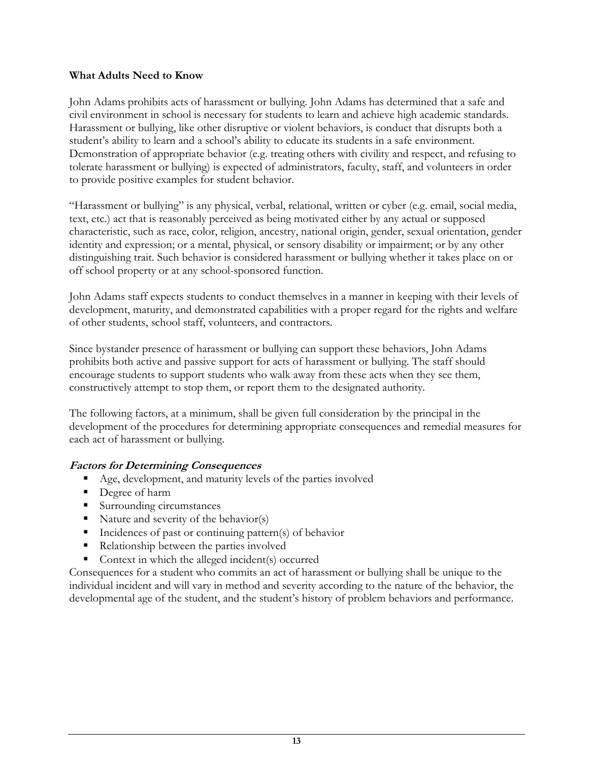#### **What Adults Need to Know**

John Adams prohibits acts of harassment or bullying. John Adams has determined that a safe and civil environment in school is necessary for students to learn and achieve high academic standards. Harassment or bullying, like other disruptive or violent behaviors, is conduct that disrupts both a student's ability to learn and a school's ability to educate its students in a safe environment. Demonstration of appropriate behavior (e.g. treating others with civility and respect, and refusing to tolerate harassment or bullying) is expected of administrators, faculty, staff, and volunteers in order to provide positive examples for student behavior.

"Harassment or bullying" is any physical, verbal, relational, written or cyber (e.g. email, social media, text, etc.) act that is reasonably perceived as being motivated either by any actual or supposed characteristic, such as race, color, religion, ancestry, national origin, gender, sexual orientation, gender identity and expression; or a mental, physical, or sensory disability or impairment; or by any other distinguishing trait. Such behavior is considered harassment or bullying whether it takes place on or off school property or at any school-sponsored function.

John Adams staff expects students to conduct themselves in a manner in keeping with their levels of development, maturity, and demonstrated capabilities with a proper regard for the rights and welfare of other students, school staff, volunteers, and contractors.

Since bystander presence of harassment or bullying can support these behaviors, John Adams prohibits both active and passive support for acts of harassment or bullying. The staff should encourage students to support students who walk away from these acts when they see them, constructively attempt to stop them, or report them to the designated authority.

The following factors, at a minimum, shall be given full consideration by the principal in the development of the procedures for determining appropriate consequences and remedial measures for each act of harassment or bullying.

### **Factors for Determining Consequences**

- Age, development, and maturity levels of the parties involved
- Degree of harm
- Surrounding circumstances
- Nature and severity of the behavior(s)
- $\blacksquare$  Incidences of past or continuing pattern(s) of behavior
- Relationship between the parties involved
- Context in which the alleged incident(s) occurred

Consequences for a student who commits an act of harassment or bullying shall be unique to the individual incident and will vary in method and severity according to the nature of the behavior, the developmental age of the student, and the student's history of problem behaviors and performance.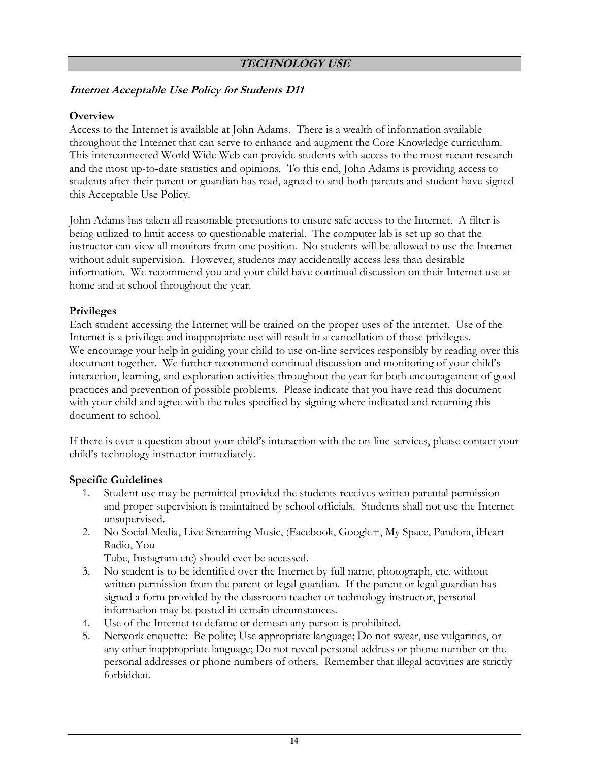### **Internet Acceptable Use Policy for Students D11**

#### **Overview**

Access to the Internet is available at John Adams. There is a wealth of information available throughout the Internet that can serve to enhance and augment the Core Knowledge curriculum. This interconnected World Wide Web can provide students with access to the most recent research and the most up-to-date statistics and opinions. To this end, John Adams is providing access to students after their parent or guardian has read, agreed to and both parents and student have signed this Acceptable Use Policy.

John Adams has taken all reasonable precautions to ensure safe access to the Internet. A filter is being utilized to limit access to questionable material. The computer lab is set up so that the instructor can view all monitors from one position. No students will be allowed to use the Internet without adult supervision. However, students may accidentally access less than desirable information. We recommend you and your child have continual discussion on their Internet use at home and at school throughout the year.

#### **Privileges**

Each student accessing the Internet will be trained on the proper uses of the internet. Use of the Internet is a privilege and inappropriate use will result in a cancellation of those privileges. We encourage your help in guiding your child to use on-line services responsibly by reading over this document together. We further recommend continual discussion and monitoring of your child's interaction, learning, and exploration activities throughout the year for both encouragement of good practices and prevention of possible problems. Please indicate that you have read this document with your child and agree with the rules specified by signing where indicated and returning this document to school.

If there is ever a question about your child's interaction with the on-line services, please contact your child's technology instructor immediately.

#### **Specific Guidelines**

- 1. Student use may be permitted provided the students receives written parental permission and proper supervision is maintained by school officials. Students shall not use the Internet unsupervised.
- 2. No Social Media, Live Streaming Music, (Facebook, Google+, My Space, Pandora, iHeart Radio, You

Tube, Instagram etc) should ever be accessed.

- 3. No student is to be identified over the Internet by full name, photograph, etc. without written permission from the parent or legal guardian. If the parent or legal guardian has signed a form provided by the classroom teacher or technology instructor, personal information may be posted in certain circumstances.
- 4. Use of the Internet to defame or demean any person is prohibited.
- 5. Network etiquette: Be polite; Use appropriate language; Do not swear, use vulgarities, or any other inappropriate language; Do not reveal personal address or phone number or the personal addresses or phone numbers of others. Remember that illegal activities are strictly forbidden.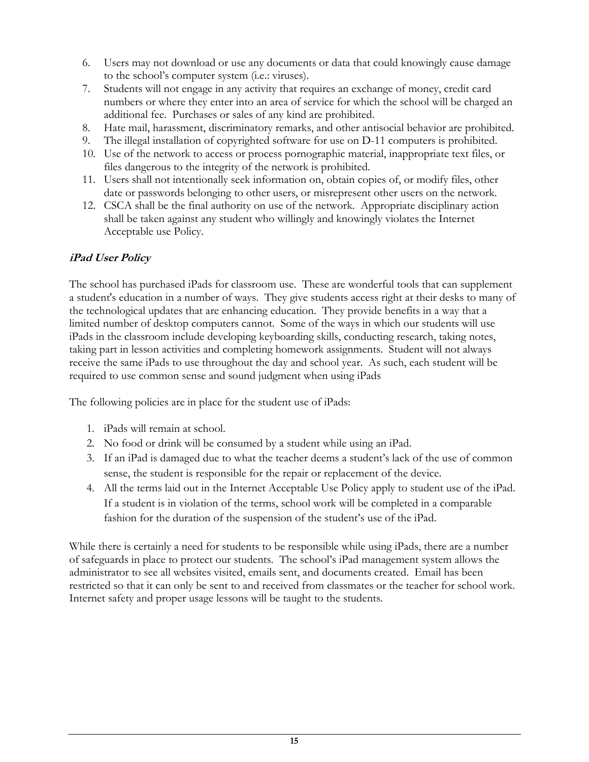- 6. Users may not download or use any documents or data that could knowingly cause damage to the school's computer system (i.e.: viruses).
- 7. Students will not engage in any activity that requires an exchange of money, credit card numbers or where they enter into an area of service for which the school will be charged an additional fee. Purchases or sales of any kind are prohibited.
- 8. Hate mail, harassment, discriminatory remarks, and other antisocial behavior are prohibited.
- 9. The illegal installation of copyrighted software for use on D-11 computers is prohibited.
- 10. Use of the network to access or process pornographic material, inappropriate text files, or files dangerous to the integrity of the network is prohibited.
- 11. Users shall not intentionally seek information on, obtain copies of, or modify files, other date or passwords belonging to other users, or misrepresent other users on the network.
- 12. CSCA shall be the final authority on use of the network. Appropriate disciplinary action shall be taken against any student who willingly and knowingly violates the Internet Acceptable use Policy.

### **iPad User Policy**

The school has purchased iPads for classroom use. These are wonderful tools that can supplement a student's education in a number of ways. They give students access right at their desks to many of the technological updates that are enhancing education. They provide benefits in a way that a limited number of desktop computers cannot. Some of the ways in which our students will use iPads in the classroom include developing keyboarding skills, conducting research, taking notes, taking part in lesson activities and completing homework assignments. Student will not always receive the same iPads to use throughout the day and school year. As such, each student will be required to use common sense and sound judgment when using iPads

The following policies are in place for the student use of iPads:

- 1. iPads will remain at school.
- 2. No food or drink will be consumed by a student while using an iPad.
- 3. If an iPad is damaged due to what the teacher deems a student's lack of the use of common sense, the student is responsible for the repair or replacement of the device.
- 4. All the terms laid out in the Internet Acceptable Use Policy apply to student use of the iPad. If a student is in violation of the terms, school work will be completed in a comparable fashion for the duration of the suspension of the student's use of the iPad.

While there is certainly a need for students to be responsible while using iPads, there are a number of safeguards in place to protect our students. The school's iPad management system allows the administrator to see all websites visited, emails sent, and documents created. Email has been restricted so that it can only be sent to and received from classmates or the teacher for school work. Internet safety and proper usage lessons will be taught to the students.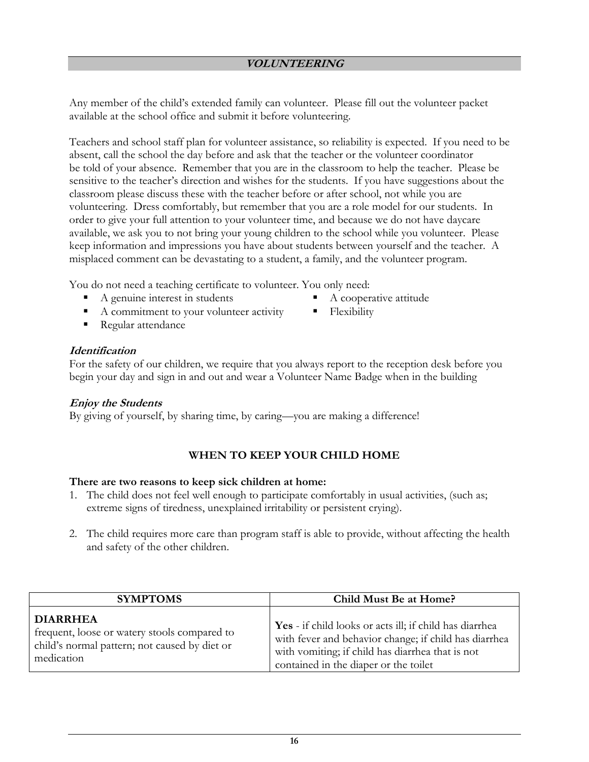Any member of the child's extended family can volunteer. Please fill out the volunteer packet available at the school office and submit it before volunteering.

Teachers and school staff plan for volunteer assistance, so reliability is expected. If you need to be absent, call the school the day before and ask that the teacher or the volunteer coordinator be told of your absence. Remember that you are in the classroom to help the teacher. Please be sensitive to the teacher's direction and wishes for the students. If you have suggestions about the classroom please discuss these with the teacher before or after school, not while you are volunteering. Dress comfortably, but remember that you are a role model for our students. In order to give your full attention to your volunteer time, and because we do not have daycare available, we ask you to not bring your young children to the school while you volunteer. Please keep information and impressions you have about students between yourself and the teacher. A misplaced comment can be devastating to a student, a family, and the volunteer program.

You do not need a teaching certificate to volunteer. You only need:

- A genuine interest in students
- A commitment to your volunteer activity
- Regular attendance

### **Identification**

For the safety of our children, we require that you always report to the reception desk before you begin your day and sign in and out and wear a Volunteer Name Badge when in the building

A cooperative attitude

Flexibility

### **Enjoy the Students**

By giving of yourself, by sharing time, by caring—you are making a difference!

### **WHEN TO KEEP YOUR CHILD HOME**

#### **There are two reasons to keep sick children at home:**

- 1. The child does not feel well enough to participate comfortably in usual activities, (such as; extreme signs of tiredness, unexplained irritability or persistent crying).
- 2. The child requires more care than program staff is able to provide, without affecting the health and safety of the other children.

| <b>SYMPTOMS</b>                               | Child Must Be at Home?                                         |
|-----------------------------------------------|----------------------------------------------------------------|
| <b>DIARRHEA</b>                               | <b>Yes</b> - if child looks or acts ill; if child has diarrhea |
| frequent, loose or watery stools compared to  | with fever and behavior change; if child has diarrhea          |
| child's normal pattern; not caused by diet or | with vomiting; if child has diarrhea that is not               |
| medication                                    | contained in the diaper or the toilet                          |

**16**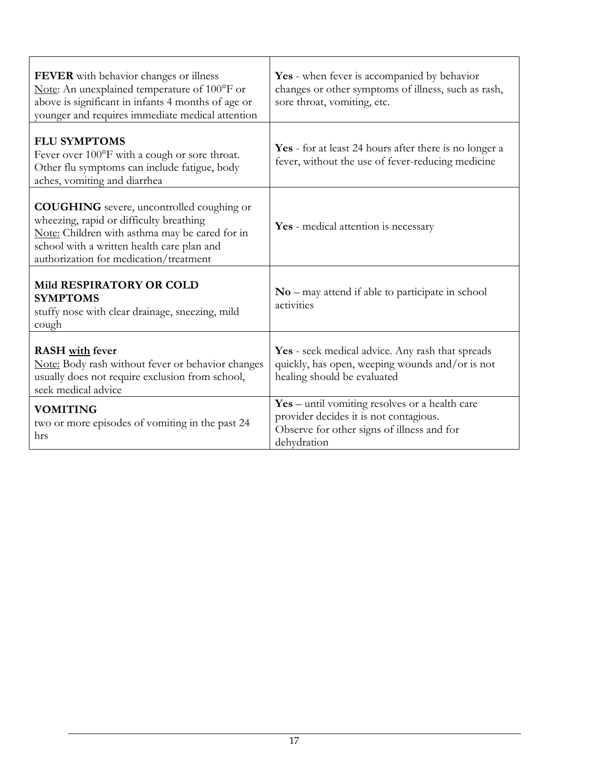| FEVER with behavior changes or illness<br>Note: An unexplained temperature of 100°F or<br>above is significant in infants 4 months of age or<br>younger and requires immediate medical attention                                      | Yes - when fever is accompanied by behavior<br>changes or other symptoms of illness, such as rash,<br>sore throat, vomiting, etc.                     |
|---------------------------------------------------------------------------------------------------------------------------------------------------------------------------------------------------------------------------------------|-------------------------------------------------------------------------------------------------------------------------------------------------------|
| <b>FLU SYMPTOMS</b><br>Fever over 100°F with a cough or sore throat.<br>Other flu symptoms can include fatigue, body<br>aches, vomiting and diarrhea                                                                                  | Yes - for at least 24 hours after there is no longer a<br>fever, without the use of fever-reducing medicine                                           |
| <b>COUGHING</b> severe, uncontrolled coughing or<br>wheezing, rapid or difficulty breathing<br>Note: Children with asthma may be cared for in<br>school with a written health care plan and<br>authorization for medication/treatment | Yes - medical attention is necessary                                                                                                                  |
| Mild RESPIRATORY OR COLD<br><b>SYMPTOMS</b><br>stuffy nose with clear drainage, sneezing, mild<br>cough                                                                                                                               | $No$ – may attend if able to participate in school<br>activities                                                                                      |
| <b>RASH</b> with fever<br>Note: Body rash without fever or behavior changes<br>usually does not require exclusion from school,<br>seek medical advice                                                                                 | Yes - seek medical advice. Any rash that spreads<br>quickly, has open, weeping wounds and/or is not<br>healing should be evaluated                    |
| <b>VOMITING</b><br>two or more episodes of vomiting in the past 24<br>hrs                                                                                                                                                             | Yes - until vomiting resolves or a health care<br>provider decides it is not contagious.<br>Observe for other signs of illness and for<br>dehydration |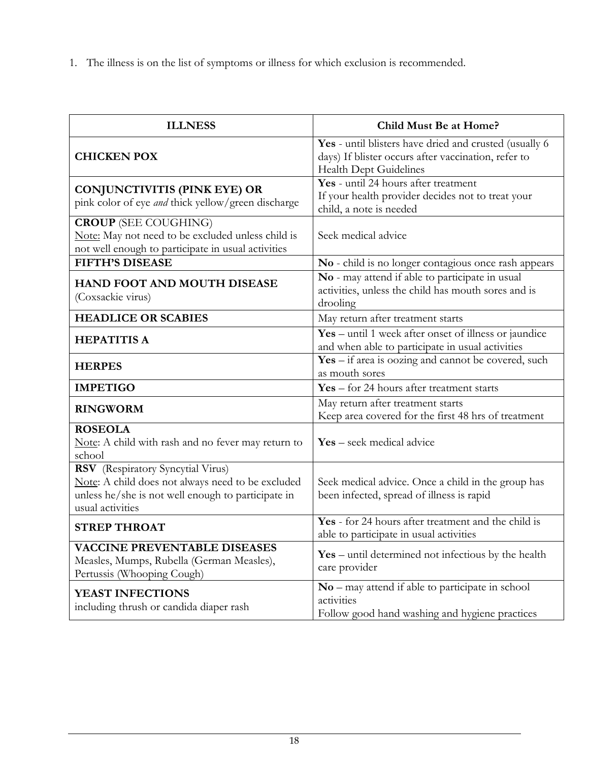1. The illness is on the list of symptoms or illness for which exclusion is recommended.

| <b>ILLNESS</b>                                                                                                                                                   | Child Must Be at Home?                                                                                                                   |
|------------------------------------------------------------------------------------------------------------------------------------------------------------------|------------------------------------------------------------------------------------------------------------------------------------------|
| <b>CHICKEN POX</b>                                                                                                                                               | Yes - until blisters have dried and crusted (usually 6)<br>days) If blister occurs after vaccination, refer to<br>Health Dept Guidelines |
| <b>CONJUNCTIVITIS (PINK EYE) OR</b><br>pink color of eye and thick yellow/green discharge                                                                        | Yes - until 24 hours after treatment<br>If your health provider decides not to treat your<br>child, a note is needed                     |
| <b>CROUP</b> (SEE COUGHING)<br>Note: May not need to be excluded unless child is<br>not well enough to participate in usual activities                           | Seek medical advice                                                                                                                      |
| <b>FIFTH'S DISEASE</b>                                                                                                                                           | No - child is no longer contagious once rash appears                                                                                     |
| HAND FOOT AND MOUTH DISEASE<br>(Coxsackie virus)                                                                                                                 | No - may attend if able to participate in usual<br>activities, unless the child has mouth sores and is<br>drooling                       |
| <b>HEADLICE OR SCABIES</b>                                                                                                                                       | May return after treatment starts                                                                                                        |
| <b>HEPATITIS A</b>                                                                                                                                               | Yes – until 1 week after onset of illness or jaundice<br>and when able to participate in usual activities                                |
| <b>HERPES</b>                                                                                                                                                    | $\overline{Yes}$ - if area is oozing and cannot be covered, such<br>as mouth sores                                                       |
| <b>IMPETIGO</b>                                                                                                                                                  | $Yes - for 24 hours after treatment starts$                                                                                              |
| <b>RINGWORM</b>                                                                                                                                                  | May return after treatment starts<br>Keep area covered for the first 48 hrs of treatment                                                 |
| <b>ROSEOLA</b><br>Note: A child with rash and no fever may return to<br>school                                                                                   | <b>Yes</b> – seek medical advice                                                                                                         |
| RSV (Respiratory Syncytial Virus)<br>Note: A child does not always need to be excluded<br>unless he/she is not well enough to participate in<br>usual activities | Seek medical advice. Once a child in the group has<br>been infected, spread of illness is rapid                                          |
| <b>STREP THROAT</b>                                                                                                                                              | Yes - for 24 hours after treatment and the child is<br>able to participate in usual activities                                           |
| <b>VACCINE PREVENTABLE DISEASES</b><br>Measles, Mumps, Rubella (German Measles),<br>Pertussis (Whooping Cough)                                                   | $Yes - until determined not infectious by the health$<br>care provider                                                                   |
| YEAST INFECTIONS<br>including thrush or candida diaper rash                                                                                                      | $No$ – may attend if able to participate in school<br>activities<br>Follow good hand washing and hygiene practices                       |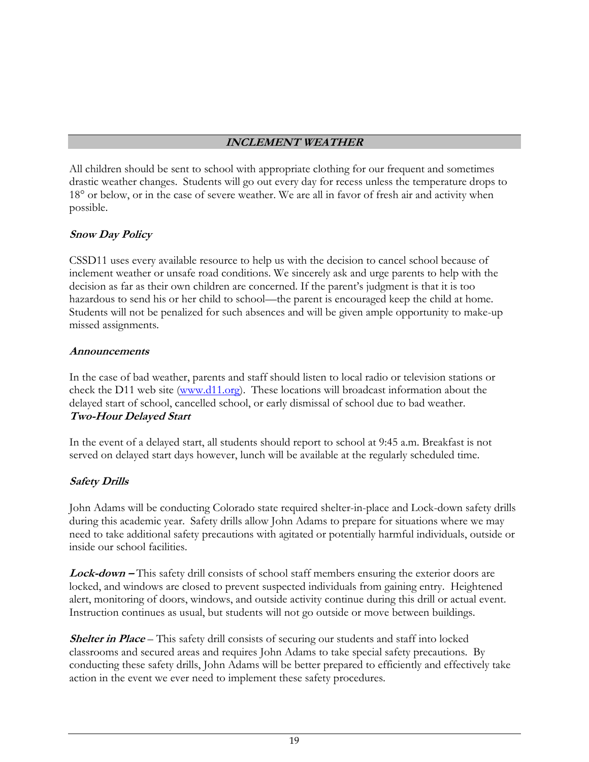### **INCLEMENT WEATHER**

All children should be sent to school with appropriate clothing for our frequent and sometimes drastic weather changes. Students will go out every day for recess unless the temperature drops to 18° or below, or in the case of severe weather. We are all in favor of fresh air and activity when possible.

### **Snow Day Policy**

CSSD11 uses every available resource to help us with the decision to cancel school because of inclement weather or unsafe road conditions. We sincerely ask and urge parents to help with the decision as far as their own children are concerned. If the parent's judgment is that it is too hazardous to send his or her child to school—the parent is encouraged keep the child at home. Students will not be penalized for such absences and will be given ample opportunity to make-up missed assignments.

#### **Announcements**

In the case of bad weather, parents and staff should listen to local radio or television stations or check the D11 web site [\(www.d11.org\)](http://www.d11.org/). These locations will broadcast information about the delayed start of school, cancelled school, or early dismissal of school due to bad weather. **Two-Hour Delayed Start**

In the event of a delayed start, all students should report to school at 9:45 a.m. Breakfast is not served on delayed start days however, lunch will be available at the regularly scheduled time.

### **Safety Drills**

John Adams will be conducting Colorado state required shelter-in-place and Lock-down safety drills during this academic year. Safety drills allow John Adams to prepare for situations where we may need to take additional safety precautions with agitated or potentially harmful individuals, outside or inside our school facilities.

**Lock-down –** This safety drill consists of school staff members ensuring the exterior doors are locked, and windows are closed to prevent suspected individuals from gaining entry. Heightened alert, monitoring of doors, windows, and outside activity continue during this drill or actual event. Instruction continues as usual, but students will not go outside or move between buildings.

**Shelter in Place** – This safety drill consists of securing our students and staff into locked classrooms and secured areas and requires John Adams to take special safety precautions. By conducting these safety drills, John Adams will be better prepared to efficiently and effectively take action in the event we ever need to implement these safety procedures.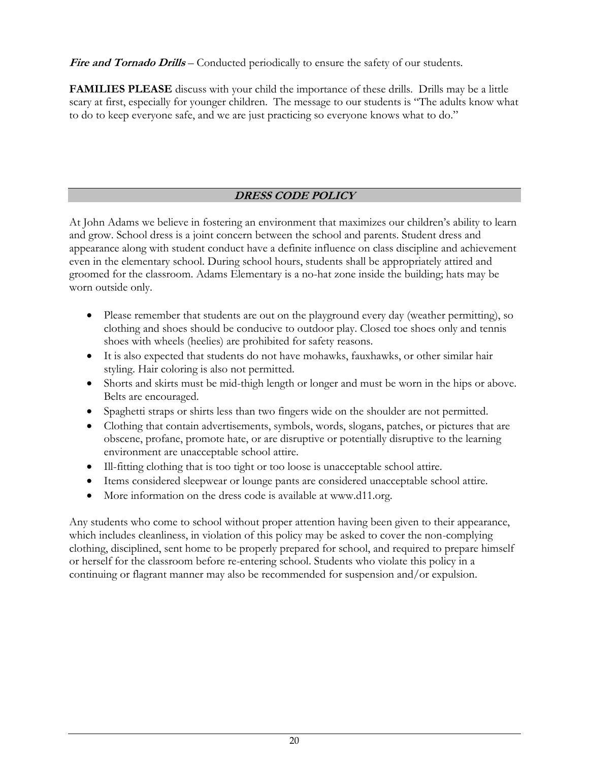Fire and Tornado Drills – Conducted periodically to ensure the safety of our students.

**FAMILIES PLEASE** discuss with your child the importance of these drills. Drills may be a little scary at first, especially for younger children. The message to our students is "The adults know what to do to keep everyone safe, and we are just practicing so everyone knows what to do."

## **DRESS CODE POLICY**

At John Adams we believe in fostering an environment that maximizes our children's ability to learn and grow. School dress is a joint concern between the school and parents. Student dress and appearance along with student conduct have a definite influence on class discipline and achievement even in the elementary school. During school hours, students shall be appropriately attired and groomed for the classroom. Adams Elementary is a no-hat zone inside the building; hats may be worn outside only.

- Please remember that students are out on the playground every day (weather permitting), so clothing and shoes should be conducive to outdoor play. Closed toe shoes only and tennis shoes with wheels (heelies) are prohibited for safety reasons.
- It is also expected that students do not have mohawks, fauxhawks, or other similar hair styling. Hair coloring is also not permitted.
- Shorts and skirts must be mid-thigh length or longer and must be worn in the hips or above. Belts are encouraged.
- Spaghetti straps or shirts less than two fingers wide on the shoulder are not permitted.
- Clothing that contain advertisements, symbols, words, slogans, patches, or pictures that are obscene, profane, promote hate, or are disruptive or potentially disruptive to the learning environment are unacceptable school attire.
- Ill-fitting clothing that is too tight or too loose is unacceptable school attire.
- Items considered sleepwear or lounge pants are considered unacceptable school attire.
- More information on the dress code is available at www.d11.org.

Any students who come to school without proper attention having been given to their appearance, which includes cleanliness, in violation of this policy may be asked to cover the non-complying clothing, disciplined, sent home to be properly prepared for school, and required to prepare himself or herself for the classroom before re-entering school. Students who violate this policy in a continuing or flagrant manner may also be recommended for suspension and/or expulsion.